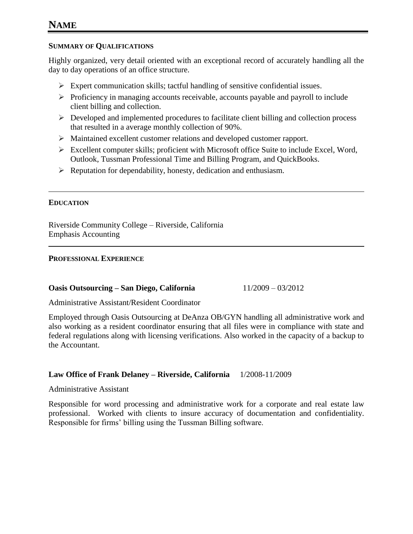# **NAME**

# **SUMMARY OF QUALIFICATIONS**

Highly organized, very detail oriented with an exceptional record of accurately handling all the day to day operations of an office structure.

- $\triangleright$  Expert communication skills; tactful handling of sensitive confidential issues.
- $\triangleright$  Proficiency in managing accounts receivable, accounts payable and payroll to include client billing and collection.
- $\triangleright$  Developed and implemented procedures to facilitate client billing and collection process that resulted in a average monthly collection of 90%.
- Maintained excellent customer relations and developed customer rapport.
- Excellent computer skills; proficient with Microsoft office Suite to include Excel, Word, Outlook, Tussman Professional Time and Billing Program, and QuickBooks.
- $\triangleright$  Reputation for dependability, honesty, dedication and enthusiasm.

# **EDUCATION**

Riverside Community College – Riverside, California Emphasis Accounting

### **PROFESSIONAL EXPERIENCE**

### **Oasis Outsourcing – San Diego, California** 11/2009 – 03/2012

Administrative Assistant/Resident Coordinator

Employed through Oasis Outsourcing at DeAnza OB/GYN handling all administrative work and also working as a resident coordinator ensuring that all files were in compliance with state and federal regulations along with licensing verifications. Also worked in the capacity of a backup to the Accountant.

### **Law Office of Frank Delaney – Riverside, California** 1/2008-11/2009

Administrative Assistant

Responsible for word processing and administrative work for a corporate and real estate law professional. Worked with clients to insure accuracy of documentation and confidentiality. Responsible for firms' billing using the Tussman Billing software.